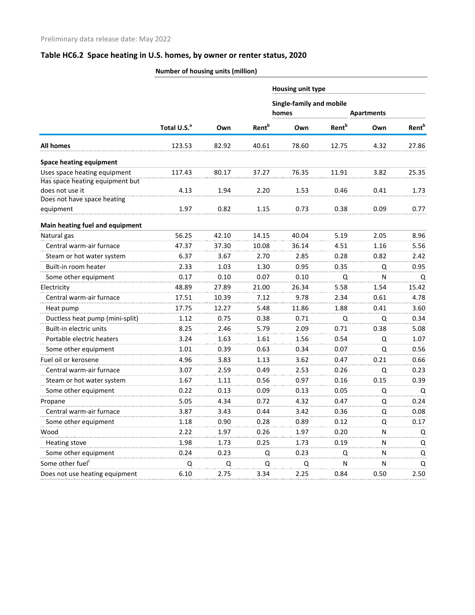|                                 | Number of nousing units (million) |       |                          |                                 |                          |                   |                          |
|---------------------------------|-----------------------------------|-------|--------------------------|---------------------------------|--------------------------|-------------------|--------------------------|
|                                 |                                   |       |                          | Housing unit type               |                          |                   |                          |
|                                 |                                   |       |                          | <b>Single-family and mobile</b> |                          |                   |                          |
|                                 |                                   |       |                          | homes                           |                          | <b>Apartments</b> |                          |
|                                 | Total U.S. <sup>a</sup>           | Own   | <b>Rent</b> <sup>b</sup> | Own                             | <b>Rent</b> <sup>b</sup> | Own               | <b>Rent</b> <sup>b</sup> |
| <b>All homes</b>                | 123.53                            | 82.92 | 40.61                    | 78.60                           | 12.75                    | 4.32              | 27.86                    |
| <b>Space heating equipment</b>  |                                   |       |                          |                                 |                          |                   |                          |
| Uses space heating equipment    | 117.43                            | 80.17 | 37.27                    | 76.35                           | 11.91                    | 3.82              | 25.35                    |
| Has space heating equipment but |                                   |       |                          |                                 |                          |                   |                          |
| does not use it                 | 4.13                              | 1.94  | 2.20                     | 1.53                            | 0.46                     | 0.41              | 1.73                     |
| Does not have space heating     |                                   |       |                          |                                 |                          |                   |                          |
| equipment                       | 1.97                              | 0.82  | 1.15                     | 0.73                            | 0.38                     | 0.09              | 0.77                     |
| Main heating fuel and equipment |                                   |       |                          |                                 |                          |                   |                          |
| Natural gas                     | 56.25                             | 42.10 | 14.15                    | 40.04                           | 5.19                     | 2.05              | 8.96                     |
| Central warm-air furnace        | 47.37                             | 37.30 | 10.08                    | 36.14                           | 4.51                     | 1.16              | 5.56                     |
| Steam or hot water system       | 6.37                              | 3.67  | 2.70                     | 2.85                            | 0.28                     | 0.82              | 2.42                     |
| Built-in room heater            | 2.33                              | 1.03  | 1.30                     | 0.95                            | 0.35                     | Q                 | 0.95                     |
| Some other equipment            | 0.17                              | 0.10  | 0.07                     | 0.10                            | Q                        | N                 | Q                        |
| Electricity                     | 48.89                             | 27.89 | 21.00                    | 26.34                           | 5.58                     | 1.54              | 15.42                    |
| Central warm-air furnace        | 17.51                             | 10.39 | 7.12                     | 9.78                            | 2.34                     | 0.61              | 4.78                     |
| Heat pump                       | 17.75                             | 12.27 | 5.48                     | 11.86                           | 1.88                     | 0.41              | 3.60                     |
| Ductless heat pump (mini-split) | 1.12                              | 0.75  | 0.38                     | 0.71                            | Q                        | Q                 | 0.34                     |
| Built-in electric units         | 8.25                              | 2.46  | 5.79                     | 2.09                            | 0.71                     | 0.38              | 5.08                     |
| Portable electric heaters       | 3.24                              | 1.63  | 1.61                     | 1.56                            | 0.54                     | Q                 | 1.07                     |
| Some other equipment            | 1.01                              | 0.39  | 0.63                     | 0.34                            | 0.07                     | Q                 | 0.56                     |
| Fuel oil or kerosene            | 4.96                              | 3.83  | 1.13                     | 3.62                            | 0.47                     | 0.21              | 0.66                     |
| Central warm-air furnace        | 3.07                              | 2.59  | 0.49                     | 2.53                            | 0.26                     | Q                 | 0.23                     |
| Steam or hot water system       | 1.67                              | 1.11  | 0.56                     | 0.97                            | 0.16                     | 0.15              | 0.39                     |
| Some other equipment            | 0.22                              | 0.13  | 0.09                     | 0.13                            | 0.05                     | Q                 | Q                        |
| Propane                         | 5.05                              | 4.34  | 0.72                     | 4.32                            | 0.47                     | Q                 | 0.24                     |
| Central warm-air furnace        | 3.87                              | 3.43  | 0.44                     | 3.42                            | 0.36                     | Q                 | 0.08                     |
| Some other equipment            | 1.18                              | 0.90  | 0.28                     | 0.89                            | 0.12                     | Q                 | 0.17                     |
| Wood                            | 2.22                              | 1.97  | 0.26                     | 1.97                            | 0.20                     | N                 | Q                        |
| <b>Heating stove</b>            | 1.98                              | 1.73  | 0.25                     | 1.73                            | 0.19                     | N                 | Q                        |
| Some other equipment            | 0.24                              | 0.23  | Q                        | 0.23                            | Q                        | N                 | Q                        |
| Some other fuel <sup>c</sup>    |                                   |       |                          |                                 |                          |                   |                          |
|                                 | Q                                 | Q     | Q                        | Q                               | N                        | N                 | Q                        |
| Does not use heating equipment  | 6.10                              | 2.75  | 3.34                     | 2.25                            | 0.84                     | 0.50              | 2.50                     |

**Number of housing units (million)**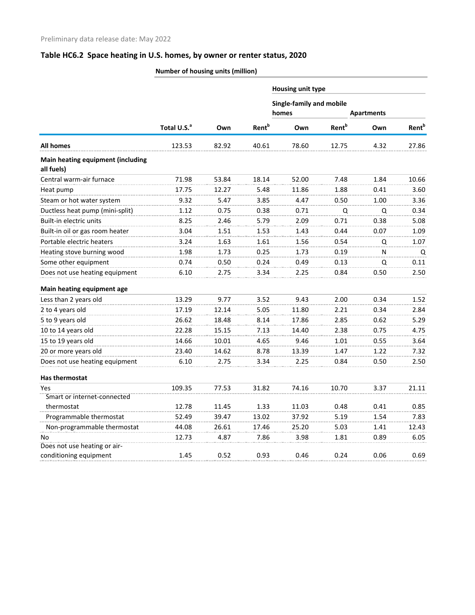|                                                 | <b>NUTTING OF HOUSING UNITS (HIMPOIT)</b> |       |                          |                                 |                          |                   |                          |  |
|-------------------------------------------------|-------------------------------------------|-------|--------------------------|---------------------------------|--------------------------|-------------------|--------------------------|--|
|                                                 |                                           |       |                          | Housing unit type               |                          |                   |                          |  |
|                                                 |                                           |       |                          | <b>Single-family and mobile</b> |                          |                   |                          |  |
|                                                 |                                           |       |                          | homes                           |                          | <b>Apartments</b> |                          |  |
|                                                 | Total U.S. <sup>a</sup>                   | Own   | <b>Rent</b> <sup>b</sup> | Own                             | <b>Rent</b> <sup>b</sup> | Own               | <b>Rent</b> <sup>b</sup> |  |
| All homes                                       | 123.53                                    | 82.92 | 40.61                    | 78.60                           | 12.75                    | 4.32              | 27.86                    |  |
| Main heating equipment (including<br>all fuels) |                                           |       |                          |                                 |                          |                   |                          |  |
| Central warm-air furnace                        | 71.98                                     | 53.84 | 18.14                    | 52.00                           | 7.48                     | 1.84              | 10.66                    |  |
| Heat pump                                       | 17.75                                     | 12.27 | 5.48                     | 11.86                           | 1.88                     | 0.41              | 3.60                     |  |
| Steam or hot water system                       | 9.32                                      | 5.47  | 3.85                     | 4.47                            | 0.50                     | 1.00              | 3.36                     |  |
| Ductless heat pump (mini-split)                 | 1.12                                      | 0.75  | 0.38                     | 0.71                            | Q                        | Q                 | 0.34                     |  |
| Built-in electric units                         | 8.25                                      | 2.46  | 5.79                     | 2.09                            | 0.71                     | 0.38              | 5.08                     |  |
| Built-in oil or gas room heater                 | 3.04                                      | 1.51  | 1.53                     | 1.43                            | 0.44                     | 0.07              | 1.09                     |  |
| Portable electric heaters                       | 3.24                                      | 1.63  | 1.61                     | 1.56                            | 0.54                     | Q                 | 1.07                     |  |
| Heating stove burning wood                      | 1.98                                      | 1.73  | 0.25                     | 1.73                            | 0.19                     | N                 | Q                        |  |
| Some other equipment                            | 0.74                                      | 0.50  | 0.24                     | 0.49                            | 0.13                     | Q                 | 0.11                     |  |
| Does not use heating equipment                  | 6.10                                      | 2.75  | 3.34                     | 2.25                            | 0.84                     | 0.50              | 2.50                     |  |
| Main heating equipment age                      |                                           |       |                          |                                 |                          |                   |                          |  |
| Less than 2 years old                           | 13.29                                     | 9.77  | 3.52                     | 9.43                            | 2.00                     | 0.34              | 1.52                     |  |
| 2 to 4 years old                                | 17.19                                     | 12.14 | 5.05                     | 11.80                           | 2.21                     | 0.34              | 2.84                     |  |
| 5 to 9 years old                                | 26.62                                     | 18.48 | 8.14                     | 17.86                           | 2.85                     | 0.62              | 5.29                     |  |
| 10 to 14 years old                              | 22.28                                     | 15.15 | 7.13                     | 14.40                           | 2.38                     | 0.75              | 4.75                     |  |
| 15 to 19 years old                              | 14.66                                     | 10.01 | 4.65                     | 9.46                            | 1.01                     | 0.55              | 3.64                     |  |
| 20 or more years old                            | 23.40                                     | 14.62 | 8.78                     | 13.39                           | 1.47                     | 1.22              | 7.32                     |  |
| Does not use heating equipment                  | 6.10                                      | 2.75  | 3.34                     | 2.25                            | 0.84                     | 0.50              | 2.50                     |  |
| Has thermostat                                  |                                           |       |                          |                                 |                          |                   |                          |  |
| Yes                                             | 109.35                                    | 77.53 | 31.82                    | 74.16                           | 10.70                    | 3.37              | 21.11                    |  |
| Smart or internet-connected                     |                                           |       |                          |                                 |                          |                   |                          |  |
| thermostat                                      | 12.78                                     | 11.45 | 1.33                     | 11.03                           | 0.48                     | 0.41              | 0.85                     |  |
| Programmable thermostat                         | 52.49                                     | 39.47 | 13.02                    | 37.92                           | 5.19                     | 1.54              | 7.83                     |  |
| Non-programmable thermostat                     | 44.08                                     | 26.61 | 17.46                    | 25.20                           | 5.03                     | 1.41              | 12.43                    |  |
| No                                              | 12.73                                     | 4.87  | 7.86                     | 3.98                            | 1.81                     | 0.89              | 6.05                     |  |
| Does not use heating or air-                    |                                           |       |                          |                                 |                          |                   |                          |  |
| conditioning equipment                          | 1.45                                      | 0.52  | 0.93                     | 0.46                            | 0.24                     | 0.06              | 0.69                     |  |

#### **Number of housing units (million)**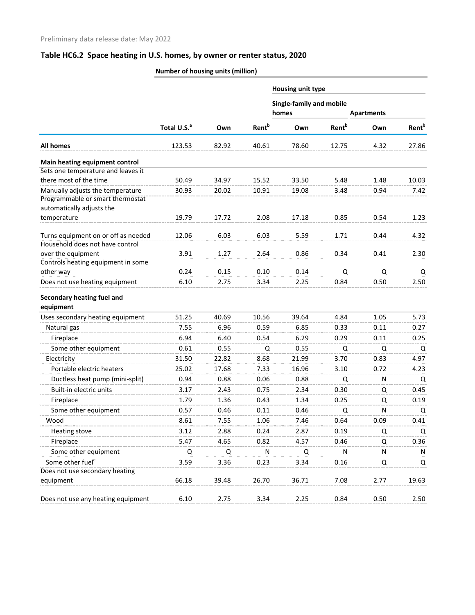|                                                                        | Number of housing units (million) |       |                          |                                   |                          |                   |                          |
|------------------------------------------------------------------------|-----------------------------------|-------|--------------------------|-----------------------------------|--------------------------|-------------------|--------------------------|
|                                                                        |                                   |       |                          | <b>Housing unit type</b>          |                          |                   |                          |
|                                                                        |                                   |       |                          | Single-family and mobile<br>homes |                          | <b>Apartments</b> |                          |
|                                                                        | Total U.S. <sup>a</sup>           | Own   | <b>Rent</b> <sup>b</sup> | Own                               | <b>Rent</b> <sup>b</sup> | Own               | <b>Rent</b> <sup>b</sup> |
| <b>All homes</b>                                                       | 123.53                            | 82.92 | 40.61                    | 78.60                             | 12.75                    | 4.32              | 27.86                    |
| Main heating equipment control                                         |                                   |       |                          |                                   |                          |                   |                          |
| Sets one temperature and leaves it                                     |                                   |       |                          |                                   |                          |                   |                          |
| there most of the time                                                 | 50.49                             | 34.97 | 15.52                    | 33.50                             | 5.48                     | 1.48              | 10.03                    |
| Manually adjusts the temperature<br>Programmable or smart thermostat   | 30.93                             | 20.02 | 10.91                    | 19.08                             | 3.48                     | 0.94              | 7.42                     |
| automatically adjusts the                                              |                                   |       |                          |                                   |                          |                   |                          |
| temperature                                                            | 19.79                             | 17.72 | 2.08                     | 17.18                             | 0.85                     | 0.54              | 1.23                     |
| Turns equipment on or off as needed<br>Household does not have control | 12.06                             | 6.03  | 6.03                     | 5.59                              | 1.71                     | 0.44              | 4.32                     |
| over the equipment                                                     | 3.91                              | 1.27  | 2.64                     | 0.86                              | 0.34                     | 0.41              | 2.30                     |
| Controls heating equipment in some                                     |                                   |       |                          |                                   |                          |                   |                          |
| other way                                                              | 0.24                              | 0.15  | 0.10                     | 0.14                              | Q                        | Q                 | Q                        |
| Does not use heating equipment                                         | 6.10                              | 2.75  | 3.34                     | 2.25                              | 0.84                     | 0.50              | 2.50                     |
| Secondary heating fuel and<br>equipment                                |                                   |       |                          |                                   |                          |                   |                          |
| Uses secondary heating equipment                                       | 51.25                             | 40.69 | 10.56                    | 39.64                             | 4.84                     | 1.05              | 5.73                     |
| Natural gas                                                            | 7.55                              | 6.96  | 0.59                     | 6.85                              | 0.33                     | 0.11              | 0.27                     |
| Fireplace                                                              | 6.94                              | 6.40  | 0.54                     | 6.29                              | 0.29                     | 0.11              | 0.25                     |
| Some other equipment                                                   | 0.61                              | 0.55  | Q                        | 0.55                              | Q                        | Q                 | Q                        |
| Electricity                                                            | 31.50                             | 22.82 | 8.68                     | 21.99                             | 3.70                     | 0.83              | 4.97                     |
| Portable electric heaters                                              | 25.02                             | 17.68 | 7.33                     | 16.96                             | 3.10                     | 0.72              | 4.23                     |
| Ductless heat pump (mini-split)                                        | 0.94                              | 0.88  | 0.06                     | 0.88                              | Q                        | N                 | Q                        |
| Built-in electric units                                                | 3.17                              | 2.43  | 0.75                     | 2.34                              | 0.30                     | Q                 | 0.45                     |
| Fireplace                                                              | 1.79                              | 1.36  | 0.43                     | 1.34                              | 0.25                     | Q                 | 0.19                     |
| Some other equipment                                                   | 0.57                              | 0.46  | 0.11                     | 0.46                              | Q                        | N                 | Q                        |
| Wood                                                                   | 8.61                              | 7.55  | 1.06                     | 7.46                              | 0.64                     | 0.09              | 0.41                     |
| <b>Heating stove</b>                                                   | 3.12                              | 2.88  | 0.24                     | 2.87                              | 0.19                     | Q                 | Q                        |
| Fireplace                                                              | 5.47                              | 4.65  | 0.82                     | 4.57                              | 0.46                     | Q                 | 0.36                     |
| Some other equipment                                                   | Q                                 | Q     | N                        | Q                                 | N                        | N                 | N                        |
| Some other fuel <sup>c</sup>                                           | 3.59                              | 3.36  | 0.23                     | 3.34                              | 0.16                     | Q                 | Q                        |
| Does not use secondary heating                                         |                                   |       |                          |                                   |                          |                   |                          |
| equipment                                                              | 66.18                             | 39.48 | 26.70                    | 36.71                             | 7.08                     | 2.77              | 19.63                    |
| Does not use any heating equipment                                     | 6.10                              | 2.75  | 3.34                     | 2.25                              | 0.84                     | 0.50              | 2.50                     |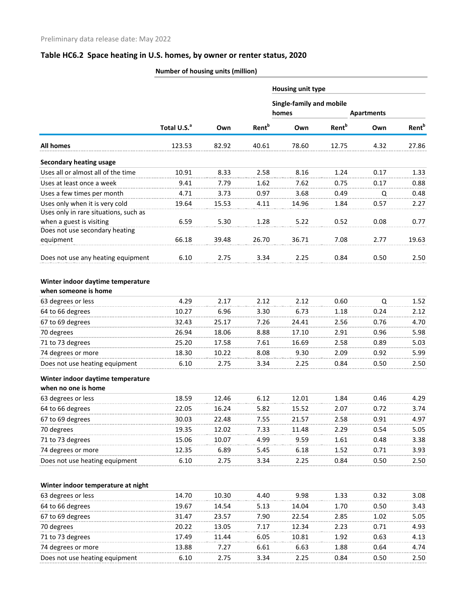| Total U.S. <sup>a</sup><br>123.53<br>10.91<br>9.41<br>4.71<br>19.64<br>6.59<br>66.18<br>6.10 | Own<br>82.92<br>8.33<br>7.79<br>3.73<br>15.53<br>5.30<br>39.48<br>2.75                                                  | <b>Rent</b> <sup>b</sup><br>40.61<br>2.58<br>1.62<br>0.97<br>4.11<br>1.28<br>26.70                                    | Single-family and mobile<br>homes<br>Own<br>78.60<br>8.16<br>7.62<br>3.68<br>14.96<br>5.22<br>36.71                  | <b>Rent</b> <sup>b</sup><br>12.75<br>1.24<br>0.75<br>0.49<br>1.84<br>0.52<br>7.08                                   | <b>Apartments</b><br>Own<br>4.32<br>0.17<br>0.17<br>Q<br>0.57<br>0.08                                        | 27.86<br>0.48<br>2.27<br>0.77                                                                             |
|----------------------------------------------------------------------------------------------|-------------------------------------------------------------------------------------------------------------------------|-----------------------------------------------------------------------------------------------------------------------|----------------------------------------------------------------------------------------------------------------------|---------------------------------------------------------------------------------------------------------------------|--------------------------------------------------------------------------------------------------------------|-----------------------------------------------------------------------------------------------------------|
|                                                                                              |                                                                                                                         |                                                                                                                       |                                                                                                                      |                                                                                                                     |                                                                                                              | <b>Rent</b> <sup>b</sup><br>1.33<br>0.88                                                                  |
|                                                                                              |                                                                                                                         |                                                                                                                       |                                                                                                                      |                                                                                                                     |                                                                                                              |                                                                                                           |
|                                                                                              |                                                                                                                         |                                                                                                                       |                                                                                                                      |                                                                                                                     |                                                                                                              |                                                                                                           |
|                                                                                              |                                                                                                                         |                                                                                                                       |                                                                                                                      |                                                                                                                     |                                                                                                              |                                                                                                           |
|                                                                                              |                                                                                                                         |                                                                                                                       |                                                                                                                      |                                                                                                                     |                                                                                                              |                                                                                                           |
|                                                                                              |                                                                                                                         |                                                                                                                       |                                                                                                                      |                                                                                                                     |                                                                                                              |                                                                                                           |
|                                                                                              |                                                                                                                         |                                                                                                                       |                                                                                                                      |                                                                                                                     |                                                                                                              |                                                                                                           |
|                                                                                              |                                                                                                                         |                                                                                                                       |                                                                                                                      |                                                                                                                     |                                                                                                              |                                                                                                           |
|                                                                                              |                                                                                                                         |                                                                                                                       |                                                                                                                      |                                                                                                                     |                                                                                                              |                                                                                                           |
|                                                                                              |                                                                                                                         |                                                                                                                       |                                                                                                                      |                                                                                                                     |                                                                                                              |                                                                                                           |
|                                                                                              |                                                                                                                         |                                                                                                                       |                                                                                                                      |                                                                                                                     | 2.77                                                                                                         | 19.63                                                                                                     |
|                                                                                              |                                                                                                                         |                                                                                                                       | 2.25                                                                                                                 | 0.84                                                                                                                | 0.50                                                                                                         | 2.50                                                                                                      |
|                                                                                              |                                                                                                                         |                                                                                                                       |                                                                                                                      |                                                                                                                     |                                                                                                              |                                                                                                           |
|                                                                                              |                                                                                                                         |                                                                                                                       |                                                                                                                      |                                                                                                                     |                                                                                                              |                                                                                                           |
|                                                                                              |                                                                                                                         |                                                                                                                       |                                                                                                                      |                                                                                                                     |                                                                                                              | 1.52                                                                                                      |
|                                                                                              |                                                                                                                         |                                                                                                                       |                                                                                                                      |                                                                                                                     |                                                                                                              | 2.12                                                                                                      |
|                                                                                              |                                                                                                                         |                                                                                                                       |                                                                                                                      |                                                                                                                     |                                                                                                              | 4.70                                                                                                      |
|                                                                                              |                                                                                                                         |                                                                                                                       |                                                                                                                      |                                                                                                                     |                                                                                                              | 5.98                                                                                                      |
|                                                                                              |                                                                                                                         |                                                                                                                       |                                                                                                                      |                                                                                                                     |                                                                                                              | 5.03                                                                                                      |
|                                                                                              |                                                                                                                         |                                                                                                                       |                                                                                                                      |                                                                                                                     |                                                                                                              | 5.99                                                                                                      |
|                                                                                              |                                                                                                                         |                                                                                                                       |                                                                                                                      |                                                                                                                     |                                                                                                              | 2.50                                                                                                      |
|                                                                                              |                                                                                                                         |                                                                                                                       |                                                                                                                      |                                                                                                                     |                                                                                                              |                                                                                                           |
|                                                                                              |                                                                                                                         |                                                                                                                       |                                                                                                                      |                                                                                                                     |                                                                                                              |                                                                                                           |
|                                                                                              |                                                                                                                         |                                                                                                                       |                                                                                                                      |                                                                                                                     |                                                                                                              |                                                                                                           |
|                                                                                              |                                                                                                                         |                                                                                                                       |                                                                                                                      |                                                                                                                     |                                                                                                              | 4.29                                                                                                      |
|                                                                                              |                                                                                                                         |                                                                                                                       |                                                                                                                      |                                                                                                                     |                                                                                                              | 3.74                                                                                                      |
|                                                                                              |                                                                                                                         |                                                                                                                       |                                                                                                                      |                                                                                                                     |                                                                                                              | 4.97                                                                                                      |
|                                                                                              |                                                                                                                         |                                                                                                                       |                                                                                                                      |                                                                                                                     |                                                                                                              | 5.05                                                                                                      |
|                                                                                              |                                                                                                                         |                                                                                                                       |                                                                                                                      |                                                                                                                     |                                                                                                              | 3.38                                                                                                      |
|                                                                                              |                                                                                                                         |                                                                                                                       |                                                                                                                      |                                                                                                                     |                                                                                                              | 3.93                                                                                                      |
|                                                                                              |                                                                                                                         |                                                                                                                       |                                                                                                                      |                                                                                                                     |                                                                                                              | 2.50                                                                                                      |
|                                                                                              |                                                                                                                         |                                                                                                                       |                                                                                                                      |                                                                                                                     |                                                                                                              |                                                                                                           |
| 14.70                                                                                        | 10.30                                                                                                                   | 4.40                                                                                                                  | 9.98                                                                                                                 | 1.33                                                                                                                | 0.32                                                                                                         | 3.08                                                                                                      |
| 19.67                                                                                        | 14.54                                                                                                                   | 5.13                                                                                                                  | 14.04                                                                                                                | 1.70                                                                                                                | 0.50                                                                                                         | 3.43                                                                                                      |
| 31.47                                                                                        | 23.57                                                                                                                   | 7.90                                                                                                                  | 22.54                                                                                                                | 2.85                                                                                                                | 1.02                                                                                                         | 5.05                                                                                                      |
| 20.22                                                                                        | 13.05                                                                                                                   | 7.17                                                                                                                  | 12.34                                                                                                                | 2.23                                                                                                                | 0.71                                                                                                         | 4.93                                                                                                      |
| 17.49                                                                                        | 11.44                                                                                                                   | 6.05                                                                                                                  | 10.81                                                                                                                | 1.92                                                                                                                | 0.63                                                                                                         | 4.13                                                                                                      |
| 13.88                                                                                        | 7.27                                                                                                                    | 6.61                                                                                                                  | 6.63                                                                                                                 | 1.88                                                                                                                | 0.64                                                                                                         | 4.74                                                                                                      |
| 6.10                                                                                         | 2.75                                                                                                                    | 3.34                                                                                                                  | 2.25                                                                                                                 | 0.84                                                                                                                | 0.50                                                                                                         | 2.50                                                                                                      |
|                                                                                              | 4.29<br>10.27<br>32.43<br>26.94<br>25.20<br>18.30<br>6.10<br>18.59<br>22.05<br>30.03<br>19.35<br>15.06<br>12.35<br>6.10 | 2.17<br>6.96<br>25.17<br>18.06<br>17.58<br>10.22<br>2.75<br>12.46<br>16.24<br>22.48<br>12.02<br>10.07<br>6.89<br>2.75 | 3.34<br>2.12<br>3.30<br>7.26<br>8.88<br>7.61<br>8.08<br>3.34<br>6.12<br>5.82<br>7.55<br>7.33<br>4.99<br>5.45<br>3.34 | 2.12<br>6.73<br>24.41<br>17.10<br>16.69<br>9.30<br>2.25<br>12.01<br>15.52<br>21.57<br>11.48<br>9.59<br>6.18<br>2.25 | 0.60<br>1.18<br>2.56<br>2.91<br>2.58<br>2.09<br>0.84<br>1.84<br>2.07<br>2.58<br>2.29<br>1.61<br>1.52<br>0.84 | Q<br>0.24<br>0.76<br>0.96<br>0.89<br>0.92<br>0.50<br>0.46<br>0.72<br>0.91<br>0.54<br>0.48<br>0.71<br>0.50 |

#### **Number of housing units (million)**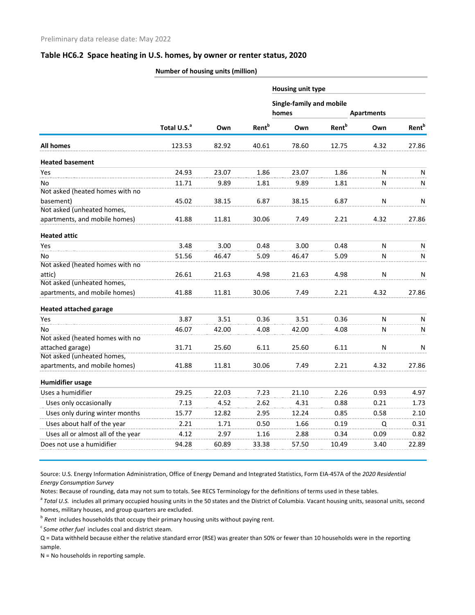|                                    | Number of housing units (million) |       |                          |                                   |                          |                   |                          |
|------------------------------------|-----------------------------------|-------|--------------------------|-----------------------------------|--------------------------|-------------------|--------------------------|
|                                    |                                   |       |                          | Housing unit type                 |                          |                   |                          |
|                                    |                                   |       |                          | Single-family and mobile<br>homes |                          | <b>Apartments</b> |                          |
|                                    | Total U.S. <sup>a</sup>           | Own   | <b>Rent</b> <sup>b</sup> | Own                               | <b>Rent</b> <sup>b</sup> | Own               | <b>Rent</b> <sup>b</sup> |
| All homes                          | 123.53                            | 82.92 | 40.61                    | 78.60                             | 12.75                    | 4.32              | 27.86                    |
| <b>Heated basement</b>             |                                   |       |                          |                                   |                          |                   |                          |
| Yes                                | 24.93                             | 23.07 | 1.86                     | 23.07                             | 1.86                     | N                 | N                        |
| No                                 | 11.71                             | 9.89  | 1.81                     | 9.89                              | 1.81                     | N                 | N                        |
| Not asked (heated homes with no    |                                   |       |                          |                                   |                          |                   |                          |
| basement)                          | 45.02                             | 38.15 | 6.87                     | 38.15                             | 6.87                     | $\mathsf{N}$      | N                        |
| Not asked (unheated homes,         |                                   |       |                          |                                   |                          |                   |                          |
| apartments, and mobile homes)      | 41.88                             | 11.81 | 30.06                    | 7.49                              | 2.21                     | 4.32              | 27.86                    |
| <b>Heated attic</b>                |                                   |       |                          |                                   |                          |                   |                          |
| Yes                                | 3.48                              | 3.00  | 0.48                     | 3.00                              | 0.48                     | N                 | N                        |
| No                                 | 51.56                             | 46.47 | 5.09                     | 46.47                             | 5.09                     | ${\sf N}$         | N                        |
| Not asked (heated homes with no    |                                   |       |                          |                                   |                          |                   |                          |
| attic)                             | 26.61                             | 21.63 | 4.98                     | 21.63                             | 4.98                     | $\mathsf{N}$      | N                        |
| Not asked (unheated homes,         |                                   |       |                          |                                   |                          |                   |                          |
| apartments, and mobile homes)      | 41.88                             | 11.81 | 30.06                    | 7.49                              | 2.21                     | 4.32              | 27.86                    |
| <b>Heated attached garage</b>      |                                   |       |                          |                                   |                          |                   |                          |
| Yes                                | 3.87                              | 3.51  | 0.36                     | 3.51                              | 0.36                     | N                 | N                        |
| No                                 | 46.07                             | 42.00 | 4.08                     | 42.00                             | 4.08                     | N                 | N                        |
| Not asked (heated homes with no    |                                   |       |                          |                                   |                          |                   |                          |
| attached garage)                   | 31.71                             | 25.60 | 6.11                     | 25.60                             | 6.11                     | N                 | N                        |
| Not asked (unheated homes,         |                                   |       |                          |                                   |                          |                   |                          |
| apartments, and mobile homes)      | 41.88                             | 11.81 | 30.06                    | 7.49                              | 2.21                     | 4.32              | 27.86                    |
| <b>Humidifier usage</b>            |                                   |       |                          |                                   |                          |                   |                          |
| Uses a humidifier                  | 29.25                             | 22.03 | 7.23                     | 21.10                             | 2.26                     | 0.93              | 4.97                     |
| Uses only occasionally             | 7.13                              | 4.52  | 2.62                     | 4.31                              | 0.88                     | 0.21              | 1.73                     |
| Uses only during winter months     | 15.77                             | 12.82 | 2.95                     | 12.24                             | 0.85                     | 0.58              | 2.10                     |
| Uses about half of the year        | 2.21                              | 1.71  | 0.50                     | 1.66                              | 0.19                     | Q                 | 0.31                     |
| Uses all or almost all of the year | 4.12                              | 2.97  | 1.16                     | 2.88                              | 0.34                     | 0.09              | 0.82                     |
| Does not use a humidifier          | 94.28                             | 60.89 | 33.38                    | 57.50                             | 10.49                    | 3.40              | 22.89                    |

Source: U.S. Energy Information Administration, Office of Energy Demand and Integrated Statistics, Form EIA-457A of the *2020 Residential Energy Consumption Survey* Notes: Because of rounding, data may not sum to totals. See RECS Terminology for the definitions of terms used in these tables.

<sup>a</sup> Total U.S. includes all primary occupied housing units in the 50 states and the District of Columbia. Vacant housing units, seasonal units, second

homes, military houses, and group quarters are excluded.

<sup>b</sup> Rent includes households that occupy their primary housing units without paying rent.

<sup>c</sup> Some other fuel includes coal and district steam.

Q = Data withheld because either the relative standard error (RSE) was greater than 50% or fewer than 10 households were in the reporting sample.

N = No households in reporting sample.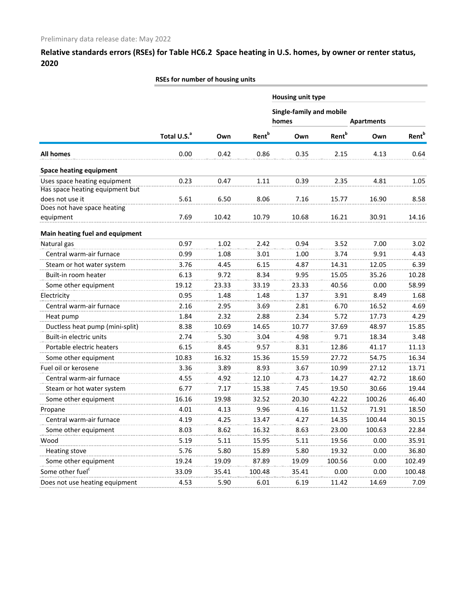|                                                                 | RSEs for number of housing units |       |                          |                                   |                          |                   |                          |
|-----------------------------------------------------------------|----------------------------------|-------|--------------------------|-----------------------------------|--------------------------|-------------------|--------------------------|
|                                                                 |                                  |       |                          | Housing unit type                 |                          |                   |                          |
|                                                                 |                                  |       |                          | Single-family and mobile<br>homes |                          | <b>Apartments</b> |                          |
|                                                                 | Total U.S. <sup>a</sup>          | Own   | <b>Rent</b> <sup>b</sup> | Own                               | <b>Rent</b> <sup>b</sup> | Own               | <b>Rent</b> <sup>b</sup> |
| <b>All homes</b>                                                | 0.00                             | 0.42  | 0.86                     | 0.35                              | 2.15                     | 4.13              | 0.64                     |
| <b>Space heating equipment</b>                                  |                                  |       |                          |                                   |                          |                   |                          |
| Uses space heating equipment<br>Has space heating equipment but | 0.23                             | 0.47  | 1.11                     | 0.39                              | 2.35                     | 4.81              | 1.05                     |
| does not use it<br>Does not have space heating                  | 5.61                             | 6.50  | 8.06                     | 7.16                              | 15.77                    | 16.90             | 8.58                     |
| equipment                                                       | 7.69                             | 10.42 | 10.79                    | 10.68                             | 16.21                    | 30.91             | 14.16                    |
| Main heating fuel and equipment                                 |                                  |       |                          |                                   |                          |                   |                          |
| Natural gas                                                     | 0.97                             | 1.02  | 2.42                     | 0.94                              | 3.52                     | 7.00              | 3.02                     |
| Central warm-air furnace                                        | 0.99                             | 1.08  | 3.01                     | 1.00                              | 3.74                     | 9.91              | 4.43                     |
| Steam or hot water system                                       | 3.76                             | 4.45  | 6.15                     | 4.87                              | 14.31                    | 12.05             | 6.39                     |
| Built-in room heater                                            | 6.13                             | 9.72  | 8.34                     | 9.95                              | 15.05                    | 35.26             | 10.28                    |
| Some other equipment                                            | 19.12                            | 23.33 | 33.19                    | 23.33                             | 40.56                    | 0.00              | 58.99                    |
| Electricity                                                     | 0.95                             | 1.48  | 1.48                     | 1.37                              | 3.91                     | 8.49              | 1.68                     |
| Central warm-air furnace                                        | 2.16                             | 2.95  | 3.69                     | 2.81                              | 6.70                     | 16.52             | 4.69                     |
| Heat pump                                                       | 1.84                             | 2.32  | 2.88                     | 2.34                              | 5.72                     | 17.73             | 4.29                     |
| Ductless heat pump (mini-split)                                 | 8.38                             | 10.69 | 14.65                    | 10.77                             | 37.69                    | 48.97             | 15.85                    |
| Built-in electric units                                         | 2.74                             | 5.30  | 3.04                     | 4.98                              | 9.71                     | 18.34             | 3.48                     |
| Portable electric heaters                                       | 6.15                             | 8.45  | 9.57                     | 8.31                              | 12.86                    | 41.17             | 11.13                    |
| Some other equipment                                            | 10.83                            | 16.32 | 15.36                    | 15.59                             | 27.72                    | 54.75             | 16.34                    |
| Fuel oil or kerosene                                            | 3.36                             | 3.89  | 8.93                     | 3.67                              | 10.99                    | 27.12             | 13.71                    |
| Central warm-air furnace                                        | 4.55                             | 4.92  | 12.10                    | 4.73                              | 14.27                    | 42.72             | 18.60                    |
| Steam or hot water system                                       | 6.77                             | 7.17  | 15.38                    | 7.45                              | 19.50                    | 30.66             | 19.44                    |
| Some other equipment                                            | 16.16                            | 19.98 | 32.52                    | 20.30                             | 42.22                    | 100.26            | 46.40                    |
| Propane                                                         | 4.01                             | 4.13  | 9.96                     | 4.16                              | 11.52                    | 71.91             | 18.50                    |
| Central warm-air furnace                                        | 4.19                             | 4.25  | 13.47                    | 4.27                              | 14.35                    | 100.44            | 30.15                    |
| Some other equipment                                            | 8.03                             | 8.62  | 16.32                    | 8.63                              | 23.00                    | 100.63            | 22.84                    |
| Wood                                                            | 5.19                             | 5.11  | 15.95                    | 5.11                              | 19.56                    | 0.00              | 35.91                    |
| <b>Heating stove</b>                                            | 5.76                             | 5.80  | 15.89                    | 5.80                              | 19.32                    | 0.00              | 36.80                    |
| Some other equipment                                            | 19.24                            | 19.09 | 87.89                    | 19.09                             | 100.56                   | 0.00              | 102.49                   |
| Some other fuel <sup>c</sup>                                    | 33.09                            | 35.41 | 100.48                   | 35.41                             | 0.00                     | 0.00              | 100.48                   |
| Does not use heating equipment                                  | 4.53                             | 5.90  | 6.01                     | 6.19                              | 11.42                    | 14.69             | 7.09                     |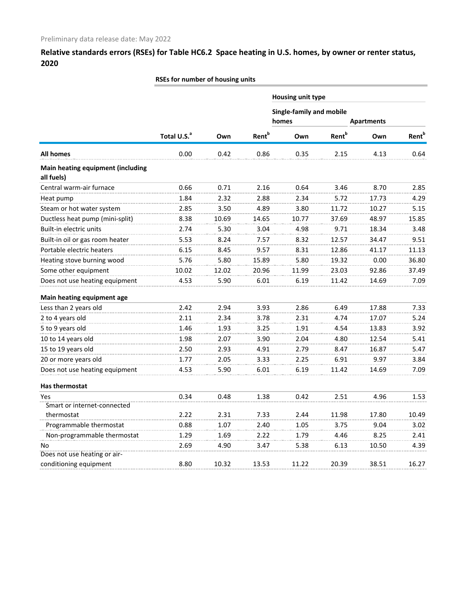|                                                 | RSEs for number of housing units |       |                          |                                   |                          |                   |                          |
|-------------------------------------------------|----------------------------------|-------|--------------------------|-----------------------------------|--------------------------|-------------------|--------------------------|
|                                                 |                                  |       |                          | Housing unit type                 |                          |                   |                          |
|                                                 |                                  |       |                          | Single-family and mobile<br>homes |                          | <b>Apartments</b> |                          |
|                                                 | Total U.S. <sup>a</sup>          | Own   | <b>Rent</b> <sup>b</sup> | Own                               | <b>Rent</b> <sup>b</sup> | Own               | <b>Rent</b> <sup>b</sup> |
| <b>All homes</b>                                | 0.00                             | 0.42  | 0.86                     | 0.35                              | 2.15                     | 4.13              | 0.64                     |
| Main heating equipment (including<br>all fuels) |                                  |       |                          |                                   |                          |                   |                          |
| Central warm-air furnace                        | 0.66                             | 0.71  | 2.16                     | 0.64                              | 3.46                     | 8.70              | 2.85                     |
| Heat pump                                       | 1.84                             | 2.32  | 2.88                     | 2.34                              | 5.72                     | 17.73             | 4.29                     |
| Steam or hot water system                       | 2.85                             | 3.50  | 4.89                     | 3.80                              | 11.72                    | 10.27             | 5.15                     |
| Ductless heat pump (mini-split)                 | 8.38                             | 10.69 | 14.65                    | 10.77                             | 37.69                    | 48.97             | 15.85                    |
| Built-in electric units                         | 2.74                             | 5.30  | 3.04                     | 4.98                              | 9.71                     | 18.34             | 3.48                     |
| Built-in oil or gas room heater                 | 5.53                             | 8.24  | 7.57                     | 8.32                              | 12.57                    | 34.47             | 9.51                     |
| Portable electric heaters                       | 6.15                             | 8.45  | 9.57                     | 8.31                              | 12.86                    | 41.17             | 11.13                    |
| Heating stove burning wood                      | 5.76                             | 5.80  | 15.89                    | 5.80                              | 19.32                    | 0.00              | 36.80                    |
| Some other equipment                            | 10.02                            | 12.02 | 20.96                    | 11.99                             | 23.03                    | 92.86             | 37.49                    |
| Does not use heating equipment                  | 4.53                             | 5.90  | 6.01                     | 6.19                              | 11.42                    | 14.69             | 7.09                     |
| Main heating equipment age                      |                                  |       |                          |                                   |                          |                   |                          |
| Less than 2 years old                           | 2.42                             | 2.94  | 3.93                     | 2.86                              | 6.49                     | 17.88             | 7.33                     |
| 2 to 4 years old                                | 2.11                             | 2.34  | 3.78                     | 2.31                              | 4.74                     | 17.07             | 5.24                     |
| 5 to 9 years old                                | 1.46                             | 1.93  | 3.25                     | 1.91                              | 4.54                     | 13.83             | 3.92                     |
| 10 to 14 years old                              | 1.98                             | 2.07  | 3.90                     | 2.04                              | 4.80                     | 12.54             | 5.41                     |
| 15 to 19 years old                              | 2.50                             | 2.93  | 4.91                     | 2.79                              | 8.47                     | 16.87             | 5.47                     |
| 20 or more years old                            | 1.77                             | 2.05  | 3.33                     | 2.25                              | 6.91                     | 9.97              | 3.84                     |
| Does not use heating equipment                  | 4.53                             | 5.90  | 6.01                     | 6.19                              | 11.42                    | 14.69             | 7.09                     |
| Has thermostat                                  |                                  |       |                          |                                   |                          |                   |                          |
| Yes                                             | 0.34                             | 0.48  | 1.38                     | 0.42                              | 2.51                     | 4.96              | 1.53                     |
| Smart or internet-connected                     |                                  |       |                          |                                   |                          |                   |                          |
| thermostat                                      | 2.22                             | 2.31  | 7.33                     | 2.44                              | 11.98                    | 17.80             | 10.49                    |
| Programmable thermostat                         | 0.88                             | 1.07  | 2.40                     | 1.05                              | 3.75                     | 9.04              | 3.02                     |
| Non-programmable thermostat                     | 1.29                             | 1.69  | 2.22                     | 1.79                              | 4.46                     | 8.25              | 2.41                     |
| No                                              | 2.69                             | 4.90  | 3.47                     | 5.38                              | 6.13                     | 10.50             | 4.39                     |
| Does not use heating or air-                    |                                  |       |                          |                                   |                          |                   |                          |
| conditioning equipment                          | 8.80                             | 10.32 | 13.53                    | 11.22                             | 20.39                    | 38.51             | 16.27                    |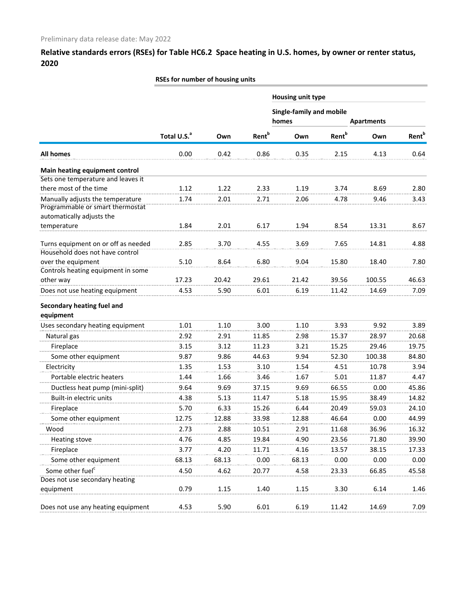|                                                                        | RSEs for number of housing units |       |                          |                                   |                          |                   |                          |
|------------------------------------------------------------------------|----------------------------------|-------|--------------------------|-----------------------------------|--------------------------|-------------------|--------------------------|
|                                                                        |                                  |       |                          | Housing unit type                 |                          |                   |                          |
|                                                                        |                                  |       |                          | Single-family and mobile<br>homes |                          | <b>Apartments</b> |                          |
|                                                                        |                                  |       |                          |                                   |                          |                   |                          |
|                                                                        | Total U.S. <sup>a</sup>          | Own   | <b>Rent</b> <sup>b</sup> | Own                               | <b>Rent</b> <sup>b</sup> | Own               | <b>Rent</b> <sup>b</sup> |
| <b>All homes</b>                                                       | 0.00                             | 0.42  | 0.86                     | 0.35                              | 2.15                     | 4.13              | 0.64                     |
| Main heating equipment control                                         |                                  |       |                          |                                   |                          |                   |                          |
| Sets one temperature and leaves it                                     |                                  |       |                          |                                   |                          |                   |                          |
| there most of the time                                                 | 1.12                             | 1.22  | 2.33                     | 1.19                              | 3.74                     | 8.69              | 2.80                     |
| Manually adjusts the temperature<br>Programmable or smart thermostat   | 1.74                             | 2.01  | 2.71                     | 2.06                              | 4.78                     | 9.46              | 3.43                     |
| automatically adjusts the                                              |                                  |       |                          |                                   |                          |                   |                          |
| temperature                                                            | 1.84                             | 2.01  | 6.17                     | 1.94                              | 8.54                     | 13.31             | 8.67                     |
| Turns equipment on or off as needed<br>Household does not have control | 2.85                             | 3.70  | 4.55                     | 3.69                              | 7.65                     | 14.81             | 4.88                     |
| over the equipment                                                     | 5.10                             | 8.64  | 6.80                     | 9.04                              | 15.80                    | 18.40             | 7.80                     |
| Controls heating equipment in some                                     |                                  |       |                          |                                   |                          |                   |                          |
| other way                                                              | 17.23                            | 20.42 | 29.61                    | 21.42                             | 39.56                    | 100.55            | 46.63                    |
| Does not use heating equipment                                         | 4.53                             | 5.90  | 6.01                     | 6.19                              | 11.42                    | 14.69             | 7.09                     |
| Secondary heating fuel and                                             |                                  |       |                          |                                   |                          |                   |                          |
| equipment                                                              |                                  |       |                          |                                   |                          |                   |                          |
| Uses secondary heating equipment                                       | 1.01                             | 1.10  | 3.00                     | 1.10                              | 3.93                     | 9.92              | 3.89                     |
| Natural gas                                                            | 2.92                             | 2.91  | 11.85                    | 2.98                              | 15.37                    | 28.97             | 20.68                    |
| Fireplace                                                              | 3.15                             | 3.12  | 11.23                    | 3.21                              | 15.25                    | 29.46             | 19.75                    |
| Some other equipment                                                   | 9.87                             | 9.86  | 44.63                    | 9.94                              | 52.30                    | 100.38            | 84.80                    |
| Electricity                                                            | 1.35                             | 1.53  | 3.10                     | 1.54                              | 4.51                     | 10.78             | 3.94                     |
| Portable electric heaters                                              | 1.44                             | 1.66  | 3.46                     | 1.67                              | 5.01                     | 11.87             | 4.47                     |
| Ductless heat pump (mini-split)                                        | 9.64                             | 9.69  | 37.15                    | 9.69                              | 66.55                    | 0.00              | 45.86                    |
| Built-in electric units                                                | 4.38                             | 5.13  | 11.47                    | 5.18                              | 15.95                    | 38.49             | 14.82                    |
| Fireplace                                                              | 5.70                             | 6.33  | 15.26                    | 6.44                              | 20.49                    | 59.03             | 24.10                    |
| Some other equipment                                                   | 12.75                            | 12.88 | 33.98                    | 12.88                             | 46.64                    | 0.00              | 44.99                    |
| Wood                                                                   | 2.73                             | 2.88  | 10.51                    | 2.91                              | 11.68                    | 36.96             | 16.32                    |
| <b>Heating stove</b>                                                   | 4.76                             | 4.85  | 19.84                    | 4.90                              | 23.56                    | 71.80             | 39.90                    |
| Fireplace                                                              | 3.77                             | 4.20  | 11.71                    | 4.16                              | 13.57                    | 38.15             | 17.33                    |
| Some other equipment                                                   | 68.13                            | 68.13 | 0.00                     | 68.13                             | 0.00                     | 0.00              | 0.00                     |
| Some other fuel <sup>c</sup>                                           | 4.50                             | 4.62  | 20.77                    | 4.58                              | 23.33                    | 66.85             | 45.58                    |
| Does not use secondary heating                                         |                                  |       |                          |                                   |                          |                   |                          |
| equipment                                                              | 0.79                             | 1.15  | 1.40                     | 1.15                              | 3.30                     | 6.14              | 1.46                     |
| Does not use any heating equipment                                     | 4.53                             | 5.90  | 6.01                     | 6.19                              | 11.42                    | 14.69             | 7.09                     |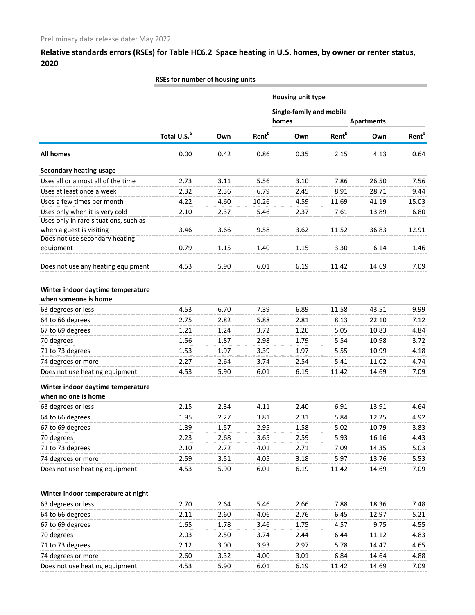**RSEs for number of housing units**

|                                       |                         |      |                          | Housing unit type                 |                   |                   |                   |
|---------------------------------------|-------------------------|------|--------------------------|-----------------------------------|-------------------|-------------------|-------------------|
|                                       |                         |      |                          | Single-family and mobile<br>homes |                   | <b>Apartments</b> |                   |
|                                       | Total U.S. <sup>a</sup> | Own  | <b>Rent</b> <sup>b</sup> | Own                               | Rent <sup>b</sup> | Own               | Rent <sup>b</sup> |
| <b>All homes</b>                      | 0.00                    | 0.42 | 0.86                     | 0.35                              | 2.15              | 4.13              | 0.64              |
| <b>Secondary heating usage</b>        |                         |      |                          |                                   |                   |                   |                   |
| Uses all or almost all of the time    | 2.73                    | 3.11 | 5.56                     | 3.10                              | 7.86              | 26.50             | 7.56              |
| Uses at least once a week             | 2.32                    | 2.36 | 6.79                     | 2.45                              | 8.91              | 28.71             | 9.44              |
| Uses a few times per month            | 4.22                    | 4.60 | 10.26                    | 4.59                              | 11.69             | 41.19             | 15.03             |
| Uses only when it is very cold        | 2.10                    | 2.37 | 5.46                     | 2.37                              | 7.61              | 13.89             | 6.80              |
| Uses only in rare situations, such as |                         |      |                          |                                   |                   |                   |                   |
| when a guest is visiting              | 3.46                    | 3.66 | 9.58                     | 3.62                              | 11.52             | 36.83             | 12.91             |
| Does not use secondary heating        |                         |      |                          |                                   |                   |                   |                   |
| equipment                             | 0.79                    | 1.15 | 1.40                     | 1.15                              | 3.30              | 6.14              | 1.46              |
| Does not use any heating equipment    | 4.53                    | 5.90 | 6.01                     | 6.19                              | 11.42             | 14.69             | 7.09              |
|                                       |                         |      |                          |                                   |                   |                   |                   |
| Winter indoor daytime temperature     |                         |      |                          |                                   |                   |                   |                   |
| when someone is home                  |                         |      |                          |                                   |                   |                   |                   |
| 63 degrees or less                    | 4.53                    | 6.70 | 7.39                     | 6.89                              | 11.58             | 43.51             | 9.99              |
| 64 to 66 degrees                      | 2.75                    | 2.82 | 5.88                     | 2.81                              | 8.13              | 22.10             | 7.12              |
| 67 to 69 degrees                      | 1.21                    | 1.24 | 3.72                     | 1.20                              | 5.05              | 10.83             | 4.84              |
| 70 degrees                            | 1.56                    | 1.87 | 2.98                     | 1.79                              | 5.54              | 10.98             | 3.72              |
| 71 to 73 degrees                      | 1.53                    | 1.97 | 3.39                     | 1.97                              | 5.55              | 10.99             | 4.18              |
| 74 degrees or more                    | 2.27                    | 2.64 | 3.74                     | 2.54                              | 5.41              | 11.02             | 4.74              |
| Does not use heating equipment        | 4.53                    | 5.90 | 6.01                     | 6.19                              | 11.42             | 14.69             | 7.09              |
| Winter indoor daytime temperature     |                         |      |                          |                                   |                   |                   |                   |
| when no one is home                   |                         |      |                          |                                   |                   |                   |                   |
| 63 degrees or less                    | 2.15                    | 2.34 | 4.11                     | 2.40                              | 6.91              | 13.91             | 4.64              |
| 64 to 66 degrees                      | 1.95                    | 2.27 | 3.81                     | 2.31                              | 5.84              | 12.25             | 4.92              |
| 67 to 69 degrees                      | 1.39                    | 1.57 | 2.95                     | 1.58                              | 5.02              | 10.79             | 3.83              |
| 70 degrees                            | 2.23                    | 2.68 | 3.65                     | 2.59                              | 5.93              | 16.16             | 4.43              |
| 71 to 73 degrees                      | 2.10                    | 2.72 | 4.01                     | 2.71                              | 7.09              | 14.35             | 5.03              |
| 74 degrees or more                    | 2.59                    | 3.51 | 4.05                     | 3.18                              | 5.97              | 13.76             | 5.53              |
| Does not use heating equipment        | 4.53                    | 5.90 | 6.01                     | 6.19                              | 11.42             | 14.69             | 7.09              |
|                                       |                         |      |                          |                                   |                   |                   |                   |
| Winter indoor temperature at night    |                         |      |                          |                                   |                   |                   |                   |
| 63 degrees or less                    | 2.70                    | 2.64 | 5.46                     | 2.66                              | 7.88              | 18.36             | 7.48              |
| 64 to 66 degrees                      | 2.11                    | 2.60 | 4.06                     | 2.76                              | 6.45              | 12.97             | 5.21              |
| 67 to 69 degrees                      | 1.65                    | 1.78 | 3.46                     | 1.75                              | 4.57              | 9.75              | 4.55              |
| 70 degrees                            | 2.03                    | 2.50 | 3.74                     | 2.44                              | 6.44              | 11.12             | 4.83              |
| 71 to 73 degrees                      | 2.12                    | 3.00 | 3.93                     | 2.97                              | 5.78              | 14.47             | 4.65              |
| 74 degrees or more                    | 2.60                    | 3.32 | 4.00                     | 3.01                              | 6.84              | 14.64             | 4.88              |
| Does not use heating equipment        | 4.53                    | 5.90 | 6.01                     | 6.19                              | 11.42             | 14.69             | 7.09              |
|                                       |                         |      |                          |                                   |                   |                   |                   |